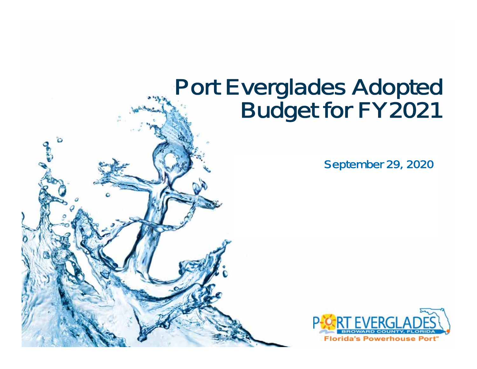# Port Everglades Adopted<br>Budget for FY2021

September 29, 2020

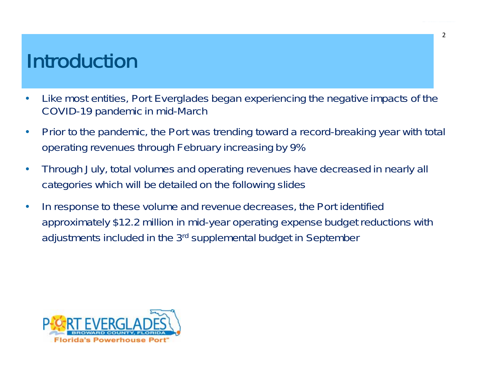#### Introduction

- • Like most entities, Port Everglades began experiencing the negative impacts of the COVID-19 pandemic in mid-March
- $\bullet$  Prior to the pandemic, the Port was trending toward a record-breaking year with total operating revenues through February increasing by 9%
- $\bullet$  Through July, total volumes and operating revenues have decreased in nearly all categories which will be detailed on the following slides
- • In response to these volume and revenue decreases, the Port identified approximately \$12.2 million in mid-year operating expense budget reductions with adjustments included in the 3rd supplemental budget in September

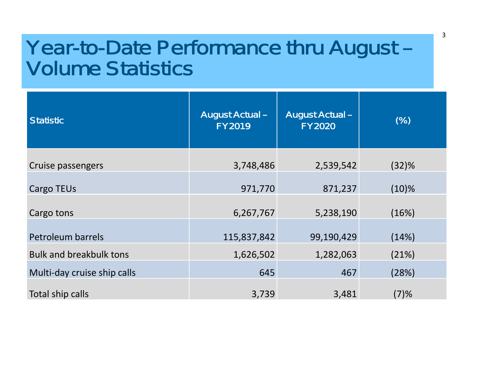#### Year-to-Date Performance thru August – Volume Statistics

| <b>Statistic</b>               | <b>August Actual -</b><br><b>FY2019</b> | <b>August Actual -</b><br><b>FY2020</b> | (% )     |
|--------------------------------|-----------------------------------------|-----------------------------------------|----------|
| Cruise passengers              | 3,748,486                               | 2,539,542                               | (32)%    |
| <b>Cargo TEUs</b>              | 971,770                                 | 871,237                                 | $(10)\%$ |
| Cargo tons                     | 6,267,767                               | 5,238,190                               | (16%)    |
| <b>Petroleum barrels</b>       | 115,837,842                             | 99,190,429                              | (14%)    |
| <b>Bulk and breakbulk tons</b> | 1,626,502                               | 1,282,063                               | (21%)    |
| Multi-day cruise ship calls    | 645                                     | 467                                     | (28%)    |
| Total ship calls               | 3,739                                   | 3,481                                   | (7)%     |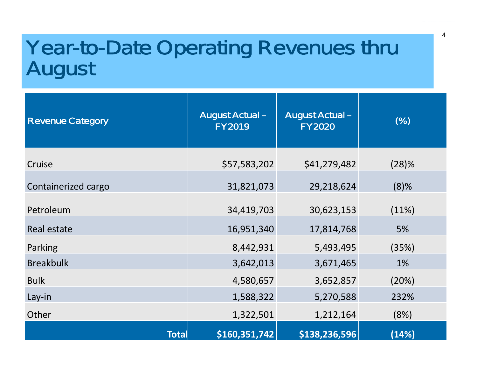# Year-to-Date Operating Revenues thru August

| <b>Revenue Category</b> | <b>August Actual -</b><br><b>FY2019</b> | <b>August Actual -</b><br><b>FY2020</b> | (%)     |
|-------------------------|-----------------------------------------|-----------------------------------------|---------|
| Cruise                  | \$57,583,202                            | \$41,279,482                            | (28)%   |
| Containerized cargo     | 31,821,073                              | 29,218,624                              | $(8)$ % |
| Petroleum               | 34,419,703                              | 30,623,153                              | (11%)   |
| Real estate             | 16,951,340                              | 17,814,768                              | 5%      |
| Parking                 | 8,442,931                               | 5,493,495                               | (35%)   |
| <b>Breakbulk</b>        | 3,642,013                               | 3,671,465                               | 1%      |
| <b>Bulk</b>             | 4,580,657                               | 3,652,857                               | (20%)   |
| Lay-in                  | 1,588,322                               | 5,270,588                               | 232%    |
| Other                   | 1,322,501                               | 1,212,164                               | (8%)    |
| <b>Total</b>            | \$160,351,742                           | \$138,236,596                           | (14%)   |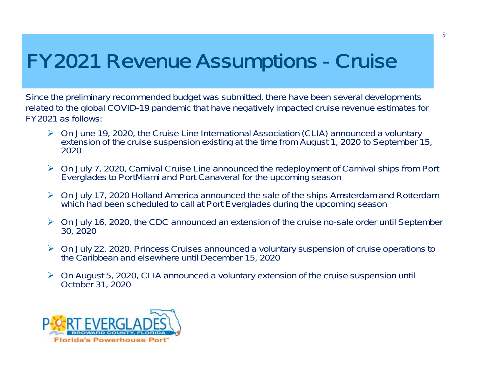### FY2021 Revenue Assumptions - Cruise

Since the preliminary recommended budget was submitted, there have been several developments related to the global COVID-19 pandemic that have negatively impacted cruise revenue estimates for FY2021 as follows:

- On June 19, 2020, the Cruise Line International Association (CLIA) announced a voluntary extension of the cruise suspension existing at the time from August 1, 2020 to September 15, 2020
- On July 7, 2020, Carnival Cruise Line announced the redeployment of Carnival ships from Port Everglades to PortMiami and Port Canaveral for the upcoming season
- On July 17, 2020 Holland America announced the sale of the ships Amsterdam and Rotterdam which had been scheduled to call at Port Everglades during the upcoming season
- On July 16, 2020, the CDC announced an extension of the cruise no-sale order until September 30, 2020
- On July 22, 2020, Princess Cruises announced a voluntary suspension of cruise operations to the Caribbean and elsewhere until December 15, 2020
- On August 5, 2020, CLIA announced a voluntary extension of the cruise suspension until October 31, 2020

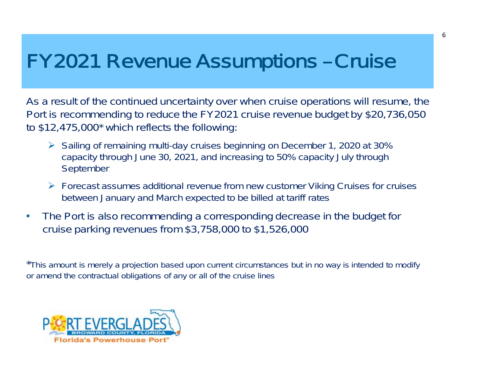### FY2021 Revenue Assumptions – Cruise

As a result of the continued uncertainty over when cruise operations will resume, the Port is recommending to reduce the FY2021 cruise revenue budget by \$20,736,050 to \$12,475,000\* which reflects the following:

- Sailing of remaining multi-day cruises beginning on December 1, 2020 at 30% capacity through June 30, 2021, and increasing to 50% capacity July through September
- Forecast assumes additional revenue from new customer Viking Cruises for cruises between January and March expected to be billed at tariff rates
- $\bullet$  The Port is also recommending a corresponding decrease in the budget for cruise parking revenues from \$3,758,000 to \$1,526,000

\*This amount is merely a projection based upon current circumstances but in no way is intended to modify or amend the contractual obligations of any or all of the cruise lines

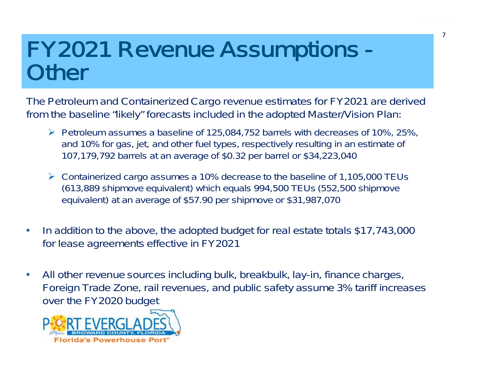## FY2021 Revenue Assumptions - **Other**

The Petroleum and Containerized Cargo revenue estimates for FY2021 are derived from the baseline "likely" forecasts included in the adopted Master/Vision Plan:

- $\triangleright$  Petroleum assumes a baseline of 125,084,752 barrels with decreases of 10%, 25%, and 10% for gas, jet, and other fuel types, respectively resulting in an estimate of 107,179,792 barrels at an average of \$0.32 per barrel or \$34,223,040
- Containerized cargo assumes a 10% decrease to the baseline of 1,105,000 TEUs (613,889 shipmove equivalent) which equals 994,500 TEUs (552,500 shipmove equivalent) at an average of \$57.90 per shipmove or \$31,987,070
- $\bullet$  In addition to the above, the adopted budget for real estate totals \$17,743,000 for lease agreements effective in FY2021
- $\bullet$  All other revenue sources including bulk, breakbulk, lay-in, finance charges, Foreign Trade Zone, rail revenues, and public safety assume 3% tariff increases over the FY2020 budget

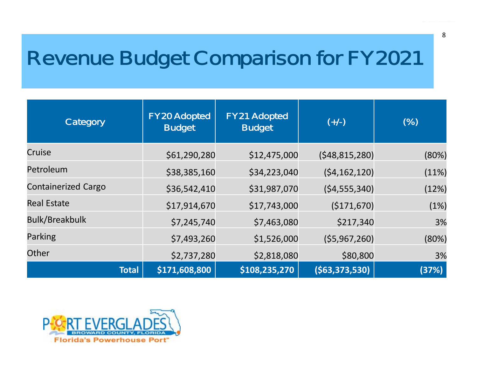### Revenue Budget Comparison for FY2021

| Category                   | <b>FY20 Adopted</b><br><b>Budget</b> | <b>FY21 Adopted</b><br><b>Budget</b> | $(+/-)$         | (%)   |
|----------------------------|--------------------------------------|--------------------------------------|-----------------|-------|
| Cruise                     | \$61,290,280                         | \$12,475,000                         | (548, 815, 280) | (80%) |
| Petroleum                  | \$38,385,160                         | \$34,223,040                         | (54, 162, 120)  | (11%) |
| <b>Containerized Cargo</b> | \$36,542,410                         | \$31,987,070                         | (54, 555, 340)  | (12%) |
| <b>Real Estate</b>         | \$17,914,670                         | \$17,743,000                         | (\$171,670)     | (1%)  |
| <b>Bulk/Breakbulk</b>      | \$7,245,740                          | \$7,463,080                          | \$217,340       | 3%    |
| Parking                    | \$7,493,260                          | \$1,526,000                          | (55, 967, 260)  | (80%) |
| Other                      | \$2,737,280                          | \$2,818,080                          | \$80,800        | 3%    |
|                            | \$171,608,800<br><b>Total</b>        | \$108,235,270                        | ( \$63,373,530) | (37%) |

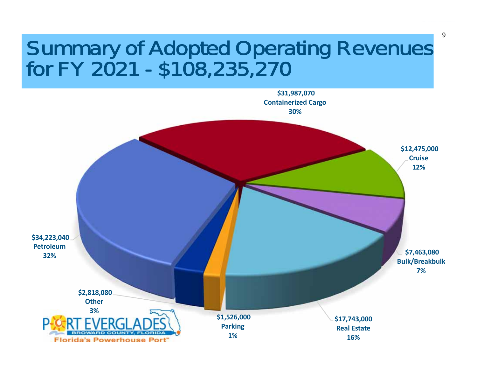# Summary of Adopted Operating Revenues for FY 2021 - \$108,235,270

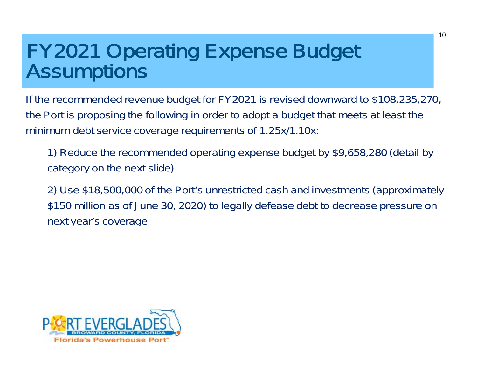# FY2021 Operating Expense Budget Assumptions

If the recommended revenue budget for FY2021 is revised downward to \$108,235,270, the Port is proposing the following in order to adopt a budget that meets at least the minimum debt service coverage requirements of 1.25x/1.10x:

1) Reduce the recommended operating expense budget by \$9,658,280 (detail by category on the next slide)

2) Use \$18,500,000 of the Port's unrestricted cash and investments (approximately \$150 million as of June 30, 2020) to legally defease debt to decrease pressure on next year's coverage

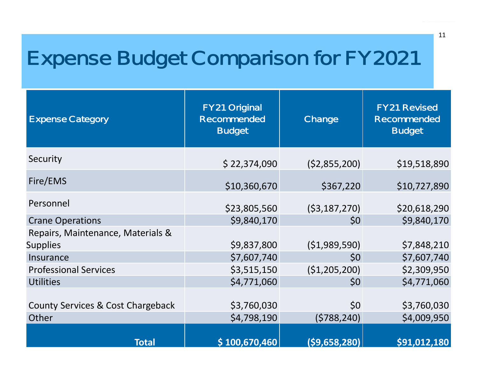## Expense Budget Comparison for FY2021

| <b>Expense Category</b>                    | <b>FY21 Original</b><br><b>Recommended</b><br><b>Budget</b> | Change             | <b>FY21 Revised</b><br><b>Recommended</b><br><b>Budget</b> |
|--------------------------------------------|-------------------------------------------------------------|--------------------|------------------------------------------------------------|
| Security                                   | \$22,374,090                                                | (52,855,200)       | \$19,518,890                                               |
| Fire/EMS                                   | \$10,360,670                                                | \$367,220          | \$10,727,890                                               |
| Personnel                                  | \$23,805,560                                                | (53, 187, 270)     | \$20,618,290                                               |
| <b>Crane Operations</b>                    | \$9,840,170                                                 | \$0                | \$9,840,170                                                |
| Repairs, Maintenance, Materials &          |                                                             |                    |                                                            |
| <b>Supplies</b>                            | \$9,837,800                                                 | ( \$1,989,590)     | \$7,848,210                                                |
| Insurance                                  | \$7,607,740                                                 | \$0                | \$7,607,740                                                |
| <b>Professional Services</b>               | \$3,515,150                                                 | ( \$1,205,200)     | \$2,309,950                                                |
| <b>Utilities</b>                           | \$4,771,060                                                 | \$0                | \$4,771,060                                                |
| County Services & Cost Chargeback<br>Other | \$3,760,030<br>\$4,798,190                                  | \$0<br>(5788, 240) | \$3,760,030<br>\$4,009,950                                 |
| <b>Total</b>                               | \$100,670,460                                               | (\$9,658,280)      | \$91,012,180                                               |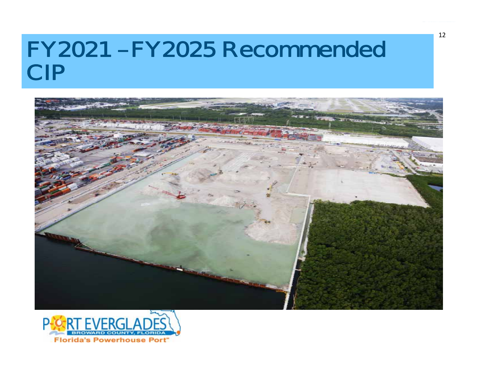### FY2021 – FY2025 Recommended CIP





12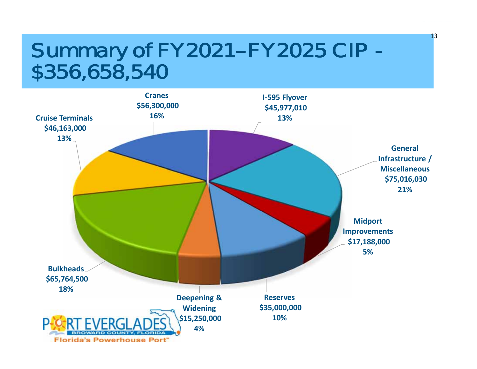# Summary of FY2021- FY2025 CIP -<br>\$356,658,540



13